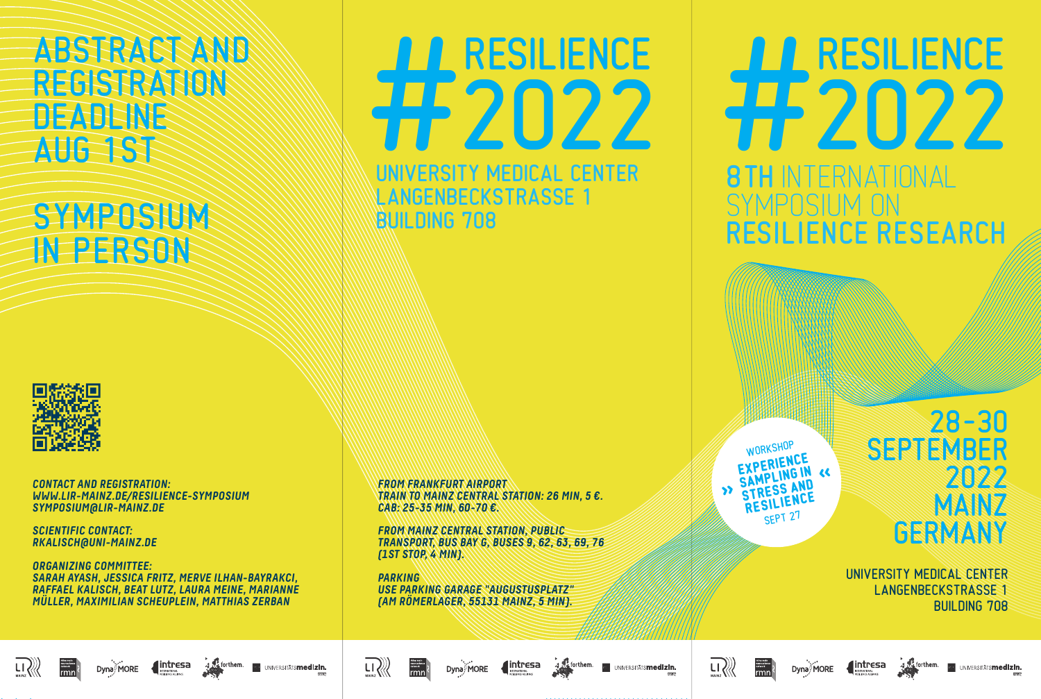# ABSTRACT AND REGISTRATION **DEADLINE** AUG 1ST

# SYMPOSIUM IN PERSON



**CONTACT AND REGISTRATION: WWW.LIR-MAINZ.DE/RESILIENCE-SYMPOSIUM SYMPOSIUM@LIR-MAINZ.DE**

**SCIENTIFIC CONTACT: RKALISCH@UNI-MAINZ.DE** 

Dyna<sup>MORE</sup>

**ORGANIZING COMMITTEE: SARAH AYASH, JESSICA FRITZ, MERVE ILHAN-BAYRAKCI, RAFFAEL KALISCH, BEAT LUTZ, LAURA MEINE, MARIANNE MÜLLER, MAXIMILIAN SCHEUPLEIN, MATTHIAS ZERBAN**

UNIVERSITY MEDICAL CENTER LANGENBECKSTRASSE 1 AA RESILIENCE<br>EP 2022

BUILDING 708

**FROM FRANKFURT AIRPORT TRAIN TO MAINZ CENTRAL STATION: 26 MIN, 5 €. CAB: 25-35 MIN, 60-70 €.**

**FROM MAINZ CENTRAL STATION, PUBLIC TRANSPORT, BUS BAY G, BUSES 9, 62, 63, 69, 76 (1ST STOP, 4 MIN).**

**PARKING USE PARKING GARAGE "AUGUSTUSPLATZ" (AM RÖMERLAGER, 55131 MAINZ, 5 MIN).**

WORKSHUP **XPERIENC EXPERIENCING STRESS AND** SEPT 27 **« WORKSHOP** EXPERIENCE SAMPLING IN **STRESS AND RESILIENCE «**

## 28– 30 SEPTEMBER 2022 MAINZ **GERMANY**

INTERNATIONAL

AA RESILIENCE<br>HEZO22

RESILIENCE RESEARCH

SYMPOSIUM ON

UNIVERSITY MEDICAL CENTER LANGENBECKSTRASSE 1 BUILDING 708









**BU UNIVERSITÄTS<b>medizin.** 





 $\int$ intresa